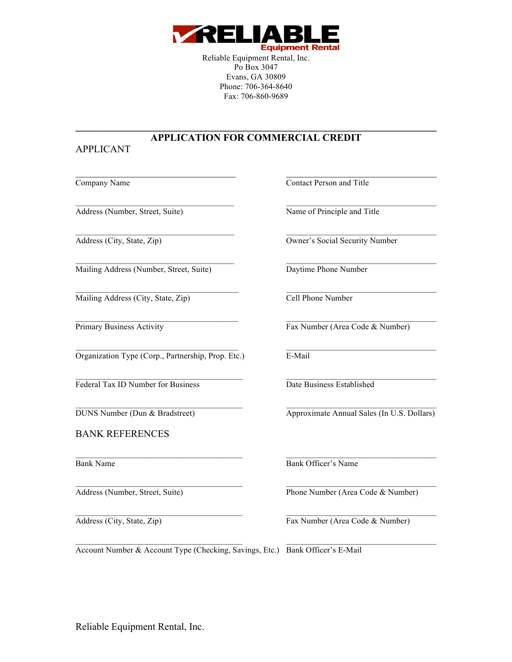

Reliable Equipment Rental, Inc. Po Box 3047 Evans, GA 30809 Phone: 706-364-8640 Fax: 706-860-9689

## **\_\_\_\_\_\_\_\_\_\_\_\_\_\_\_\_\_\_\_\_\_\_\_\_\_\_\_\_\_\_\_\_\_\_\_\_\_\_\_\_\_\_\_\_\_\_\_\_\_\_\_\_\_\_\_\_\_\_\_\_\_\_\_\_\_\_\_\_\_\_\_\_ APPLICATION FOR COMMERCIAL CREDIT**

 $\_$  , and the set of the set of the set of the set of the set of the set of the set of the set of the set of the set of the set of the set of the set of the set of the set of the set of the set of the set of the set of th

 $\_$  , and the set of the set of the set of the set of the set of the set of the set of the set of the set of the set of the set of the set of the set of the set of the set of the set of the set of the set of the set of th

 $\_$  , and the state of the state of the state of the state of the state of the state of the state of the state of the state of the state of the state of the state of the state of the state of the state of the state of the

 $\_$  , and the set of the set of the set of the set of the set of the set of the set of the set of the set of the set of the set of the set of the set of the set of the set of the set of the set of the set of the set of th

 $\mathcal{L}_\text{max}$ 

## APPLICANT

Address (Number, Street, Suite) Name of Principle and Title

Mailing Address (Number, Street, Suite) Daytime Phone Number

Mailing Address (City, State, Zip) Cell Phone Number

Organization Type (Corp., Partnership, Prop. Etc.) E-Mail

Federal Tax ID Number for Business Date Business Established

 $\mathcal{L}_\text{max}$ 

BANK REFERENCES

 $\_$  , and the set of the set of the set of the set of the set of the set of the set of the set of the set of the set of the set of the set of the set of the set of the set of the set of the set of the set of the set of th

Company Name Contact Person and Title

Address (City, State, Zip) Owner's Social Security Number

 $\mathcal{L}_\text{max}$ 

Primary Business Activity Fax Number (Area Code & Number)

DUNS Number (Dun & Bradstreet) Approximate Annual Sales (In U.S. Dollars)

 $\mathcal{L}_\text{max}$ Bank Name Bank Officer's Name

Address (Number, Street, Suite) Phone Number (Area Code & Number)

Address (City, State, Zip) Fax Number (Area Code & Number)

Account Number & Account Type (Checking, Savings, Etc.) Bank Officer's E-Mail

Reliable Equipment Rental, Inc.